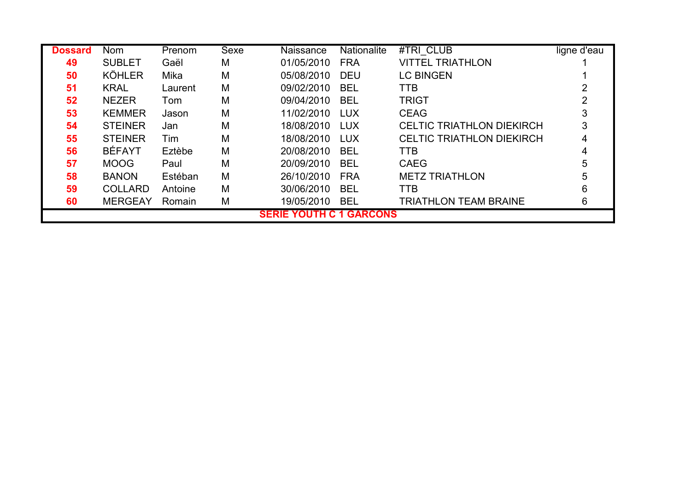| <b>Dossard</b>                 | <b>Nom</b>     | Prenom  | <b>Sexe</b> | Naissance  | <b>Nationalite</b> | #TRI CLUB                        | ligne d'eau |
|--------------------------------|----------------|---------|-------------|------------|--------------------|----------------------------------|-------------|
| 49                             | <b>SUBLET</b>  | Gaël    | M           | 01/05/2010 | <b>FRA</b>         | <b>VITTEL TRIATHLON</b>          |             |
| 50                             | <b>KÖHLER</b>  | Mika    | M           | 05/08/2010 | <b>DEU</b>         | <b>LC BINGEN</b>                 |             |
| 51                             | <b>KRAL</b>    | Laurent | M           | 09/02/2010 | <b>BEL</b>         | <b>TTB</b>                       |             |
| 52                             | <b>NEZER</b>   | Tom     | M           | 09/04/2010 | <b>BEL</b>         | <b>TRIGT</b>                     |             |
| 53                             | <b>KEMMER</b>  | Jason   | M           | 11/02/2010 | <b>LUX</b>         | <b>CEAG</b>                      |             |
| 54                             | <b>STEINER</b> | Jan     | M           | 18/08/2010 | <b>LUX</b>         | <b>CELTIC TRIATHLON DIEKIRCH</b> |             |
| 55                             | <b>STEINER</b> | Tim     | M           | 18/08/2010 | <b>LUX</b>         | <b>CELTIC TRIATHLON DIEKIRCH</b> |             |
| 56                             | <b>BÉFAYT</b>  | Eztèbe  | M           | 20/08/2010 | <b>BEL</b>         | <b>TTB</b>                       |             |
| 57                             | <b>MOOG</b>    | Paul    | M           | 20/09/2010 | <b>BEL</b>         | <b>CAEG</b>                      |             |
| 58                             | <b>BANON</b>   | Estéban | M           | 26/10/2010 | <b>FRA</b>         | <b>METZ TRIATHLON</b>            |             |
| 59                             | <b>COLLARD</b> | Antoine | M           | 30/06/2010 | <b>BEL</b>         | <b>TTB</b>                       |             |
| 60                             | <b>MERGEAY</b> | Romain  | M           | 19/05/2010 | <b>BEL</b>         | <b>TRIATHLON TEAM BRAINE</b>     | 6           |
| <b>SERIE YOUTH C 1 GARCONS</b> |                |         |             |            |                    |                                  |             |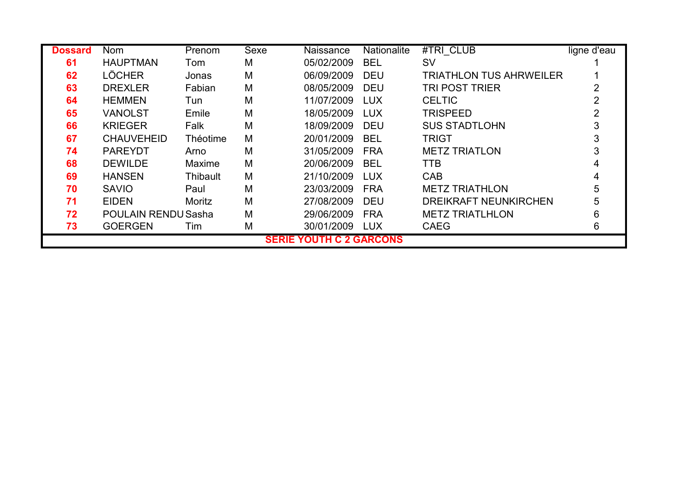| <b>Dossard</b>                 | <b>Nom</b>                 | Prenom          | <b>Sexe</b> | Naissance  | <b>Nationalite</b> | #TRI CLUB                      | ligne d'eau |  |  |
|--------------------------------|----------------------------|-----------------|-------------|------------|--------------------|--------------------------------|-------------|--|--|
| 61                             | <b>HAUPTMAN</b>            | Tom             | M           | 05/02/2009 | <b>BEL</b>         | <b>SV</b>                      |             |  |  |
| 62                             | <b>LÖCHER</b>              | Jonas           | M           | 06/09/2009 | <b>DEU</b>         | <b>TRIATHLON TUS AHRWEILER</b> |             |  |  |
| 63                             | <b>DREXLER</b>             | Fabian          | M           | 08/05/2009 | <b>DEU</b>         | <b>TRI POST TRIER</b>          |             |  |  |
| 64                             | <b>HEMMEN</b>              | Tun             | M           | 11/07/2009 | <b>LUX</b>         | <b>CELTIC</b>                  |             |  |  |
| 65                             | <b>VANOLST</b>             | Emile           | M           | 18/05/2009 | <b>LUX</b>         | <b>TRISPEED</b>                |             |  |  |
| 66                             | <b>KRIEGER</b>             | Falk            | M           | 18/09/2009 | <b>DEU</b>         | <b>SUS STADTLOHN</b>           |             |  |  |
| 67                             | <b>CHAUVEHEID</b>          | <b>Théotime</b> | M           | 20/01/2009 | <b>BEL</b>         | <b>TRIGT</b>                   |             |  |  |
| 74                             | <b>PAREYDT</b>             | Arno            | M           | 31/05/2009 | <b>FRA</b>         | <b>METZ TRIATLON</b>           |             |  |  |
| 68                             | <b>DEWILDE</b>             | Maxime          | M           | 20/06/2009 | <b>BEL</b>         | <b>TTB</b>                     |             |  |  |
| 69                             | <b>HANSEN</b>              | Thibault        | M           | 21/10/2009 | <b>LUX</b>         | <b>CAB</b>                     |             |  |  |
| 70                             | <b>SAVIO</b>               | Paul            | M           | 23/03/2009 | <b>FRA</b>         | <b>METZ TRIATHLON</b>          | 5           |  |  |
| 71                             | <b>EIDEN</b>               | <b>Moritz</b>   | M           | 27/08/2009 | <b>DEU</b>         | <b>DREIKRAFT NEUNKIRCHEN</b>   | 5           |  |  |
| 72                             | <b>POULAIN RENDU Sasha</b> |                 | M           | 29/06/2009 | <b>FRA</b>         | <b>METZ TRIATLHLON</b>         |             |  |  |
| 73                             | <b>GOERGEN</b>             | Tim             | M           | 30/01/2009 | <b>LUX</b>         | <b>CAEG</b>                    |             |  |  |
| <b>SERIE YOUTH C 2 GARCONS</b> |                            |                 |             |            |                    |                                |             |  |  |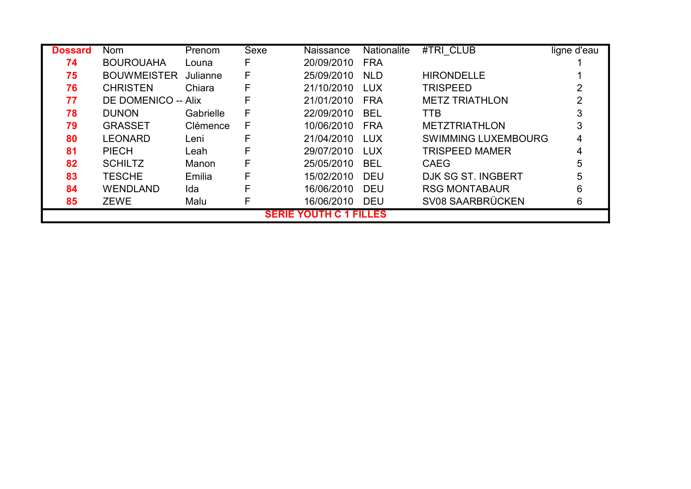| <b>Dossard</b>                | Nom.                       | Prenom    | Sexe | Naissance  | <b>Nationalite</b> | #TRI CLUB                  | ligne d'eau |  |
|-------------------------------|----------------------------|-----------|------|------------|--------------------|----------------------------|-------------|--|
| 74                            | <b>BOUROUAHA</b>           | Louna     | F    | 20/09/2010 | <b>FRA</b>         |                            |             |  |
| 75                            | <b>BOUWMEISTER</b>         | Julianne  | F    | 25/09/2010 | <b>NLD</b>         | <b>HIRONDELLE</b>          |             |  |
| 76                            | <b>CHRISTEN</b>            | Chiara    | F    | 21/10/2010 | LUX                | <b>TRISPEED</b>            |             |  |
| 77                            | <b>DE DOMENICO -- Alix</b> |           | F    | 21/01/2010 | FRA                | <b>METZ TRIATHLON</b>      |             |  |
| 78                            | <b>DUNON</b>               | Gabrielle | F    | 22/09/2010 | <b>BEL</b>         | <b>TTB</b>                 |             |  |
| 79                            | <b>GRASSET</b>             | Clémence  | F    | 10/06/2010 | <b>FRA</b>         | <b>METZTRIATHLON</b>       |             |  |
| 80                            | <b>LEONARD</b>             | Leni      | F    | 21/04/2010 | <b>LUX</b>         | <b>SWIMMING LUXEMBOURG</b> |             |  |
| 81                            | <b>PIECH</b>               | Leah      | F    | 29/07/2010 | <b>LUX</b>         | <b>TRISPEED MAMER</b>      |             |  |
| 82                            | <b>SCHILTZ</b>             | Manon     | F    | 25/05/2010 | <b>BEL</b>         | <b>CAEG</b>                | 5           |  |
| 83                            | <b>TESCHE</b>              | Emilia    | F    | 15/02/2010 | <b>DEU</b>         | DJK SG ST. INGBERT         | 5           |  |
| 84                            | <b>WENDLAND</b>            | Ida       | F    | 16/06/2010 | <b>DEU</b>         | <b>RSG MONTABAUR</b>       | 6           |  |
| 85                            | <b>ZEWE</b>                | Malu      | F    | 16/06/2010 | DEU                | SV08 SAARBRÜCKEN           | 6           |  |
| <b>SERIE YOUTH C 1 FILLES</b> |                            |           |      |            |                    |                            |             |  |